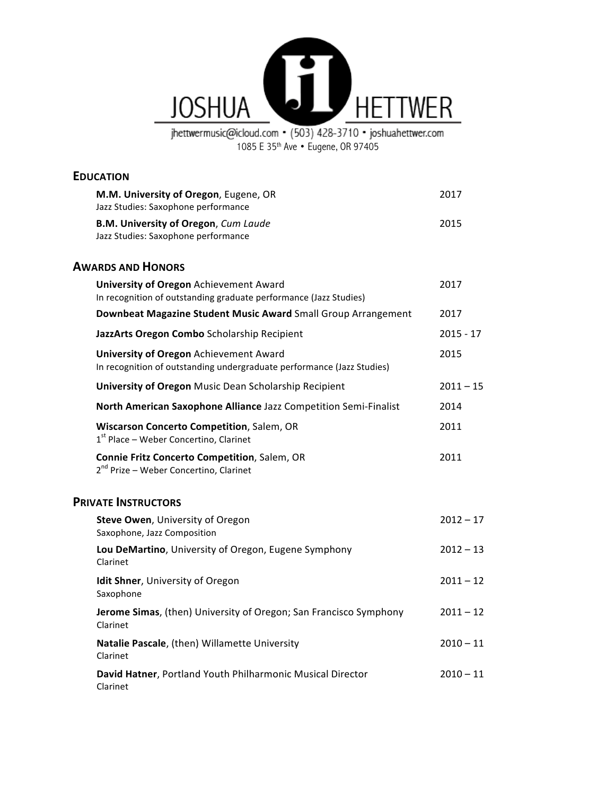

jhettwermusic@icloud.com • (503) 428-3710 • joshuahettwer.com<br>1085 E 35<sup>th</sup> Ave • Eugene, OR 97405

# **EDUCATION**

| M.M. University of Oregon, Eugene, OR<br>Jazz Studies: Saxophone performance                                            | 2017        |
|-------------------------------------------------------------------------------------------------------------------------|-------------|
| <b>B.M. University of Oregon, Cum Laude</b><br>Jazz Studies: Saxophone performance                                      | 2015        |
| <b>AWARDS AND HONORS</b>                                                                                                |             |
| <b>University of Oregon Achievement Award</b><br>In recognition of outstanding graduate performance (Jazz Studies)      | 2017        |
| Downbeat Magazine Student Music Award Small Group Arrangement                                                           | 2017        |
| JazzArts Oregon Combo Scholarship Recipient                                                                             | 2015 - 17   |
| <b>University of Oregon Achievement Award</b><br>In recognition of outstanding undergraduate performance (Jazz Studies) | 2015        |
| University of Oregon Music Dean Scholarship Recipient                                                                   | $2011 - 15$ |
| North American Saxophone Alliance Jazz Competition Semi-Finalist                                                        | 2014        |
| Wiscarson Concerto Competition, Salem, OR<br>$1st$ Place – Weber Concertino, Clarinet                                   | 2011        |
| Connie Fritz Concerto Competition, Salem, OR<br>2 <sup>nd</sup> Prize - Weber Concertino, Clarinet                      | 2011        |
| <b>PRIVATE INSTRUCTORS</b>                                                                                              |             |
| Steve Owen, University of Oregon<br>Saxophone, Jazz Composition                                                         | $2012 - 17$ |
| Lou DeMartino, University of Oregon, Eugene Symphony<br>Clarinet                                                        | $2012 - 13$ |
| Idit Shner, University of Oregon<br>Saxophone                                                                           | $2011 - 12$ |
| Jerome Simas, (then) University of Oregon; San Francisco Symphony<br>Clarinet                                           | $2011 - 12$ |
| Natalie Pascale, (then) Willamette University<br>Clarinet                                                               | $2010 - 11$ |
| David Hatner, Portland Youth Philharmonic Musical Director<br>Clarinet                                                  | $2010 - 11$ |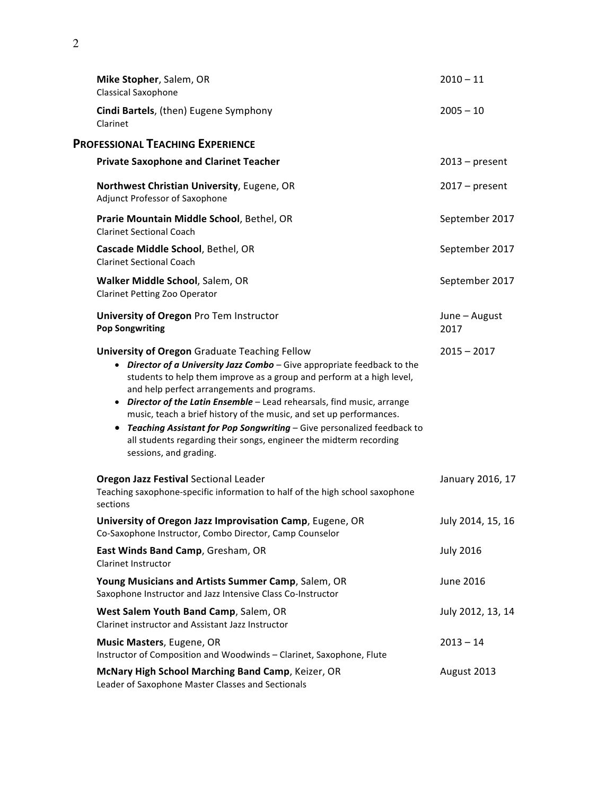| Mike Stopher, Salem, OR<br>Classical Saxophone                                                                                                                                                                                                                                                                                                                                                                                                                                                                                                                                                    | $2010 - 11$           |
|---------------------------------------------------------------------------------------------------------------------------------------------------------------------------------------------------------------------------------------------------------------------------------------------------------------------------------------------------------------------------------------------------------------------------------------------------------------------------------------------------------------------------------------------------------------------------------------------------|-----------------------|
| Cindi Bartels, (then) Eugene Symphony<br>Clarinet                                                                                                                                                                                                                                                                                                                                                                                                                                                                                                                                                 | $2005 - 10$           |
| <b>PROFESSIONAL TEACHING EXPERIENCE</b>                                                                                                                                                                                                                                                                                                                                                                                                                                                                                                                                                           |                       |
| <b>Private Saxophone and Clarinet Teacher</b>                                                                                                                                                                                                                                                                                                                                                                                                                                                                                                                                                     | $2013$ – present      |
| Northwest Christian University, Eugene, OR<br>Adjunct Professor of Saxophone                                                                                                                                                                                                                                                                                                                                                                                                                                                                                                                      | $2017$ – present      |
| Prarie Mountain Middle School, Bethel, OR<br><b>Clarinet Sectional Coach</b>                                                                                                                                                                                                                                                                                                                                                                                                                                                                                                                      | September 2017        |
| Cascade Middle School, Bethel, OR<br><b>Clarinet Sectional Coach</b>                                                                                                                                                                                                                                                                                                                                                                                                                                                                                                                              | September 2017        |
| Walker Middle School, Salem, OR<br><b>Clarinet Petting Zoo Operator</b>                                                                                                                                                                                                                                                                                                                                                                                                                                                                                                                           | September 2017        |
| University of Oregon Pro Tem Instructor<br><b>Pop Songwriting</b>                                                                                                                                                                                                                                                                                                                                                                                                                                                                                                                                 | June - August<br>2017 |
| <b>University of Oregon Graduate Teaching Fellow</b><br>• Director of a University Jazz Combo - Give appropriate feedback to the<br>students to help them improve as a group and perform at a high level,<br>and help perfect arrangements and programs.<br>• Director of the Latin Ensemble - Lead rehearsals, find music, arrange<br>music, teach a brief history of the music, and set up performances.<br>Teaching Assistant for Pop Songwriting - Give personalized feedback to<br>$\bullet$<br>all students regarding their songs, engineer the midterm recording<br>sessions, and grading. | $2015 - 2017$         |
| <b>Oregon Jazz Festival Sectional Leader</b><br>Teaching saxophone-specific information to half of the high school saxophone<br>sections                                                                                                                                                                                                                                                                                                                                                                                                                                                          | January 2016, 17      |
| University of Oregon Jazz Improvisation Camp, Eugene, OR<br>Co-Saxophone Instructor, Combo Director, Camp Counselor                                                                                                                                                                                                                                                                                                                                                                                                                                                                               | July 2014, 15, 16     |
| East Winds Band Camp, Gresham, OR<br><b>Clarinet Instructor</b>                                                                                                                                                                                                                                                                                                                                                                                                                                                                                                                                   | <b>July 2016</b>      |
| Young Musicians and Artists Summer Camp, Salem, OR<br>Saxophone Instructor and Jazz Intensive Class Co-Instructor                                                                                                                                                                                                                                                                                                                                                                                                                                                                                 | June 2016             |
| West Salem Youth Band Camp, Salem, OR<br>Clarinet instructor and Assistant Jazz Instructor                                                                                                                                                                                                                                                                                                                                                                                                                                                                                                        | July 2012, 13, 14     |
| Music Masters, Eugene, OR<br>Instructor of Composition and Woodwinds - Clarinet, Saxophone, Flute                                                                                                                                                                                                                                                                                                                                                                                                                                                                                                 | $2013 - 14$           |
| McNary High School Marching Band Camp, Keizer, OR<br>Leader of Saxophone Master Classes and Sectionals                                                                                                                                                                                                                                                                                                                                                                                                                                                                                            | August 2013           |
|                                                                                                                                                                                                                                                                                                                                                                                                                                                                                                                                                                                                   |                       |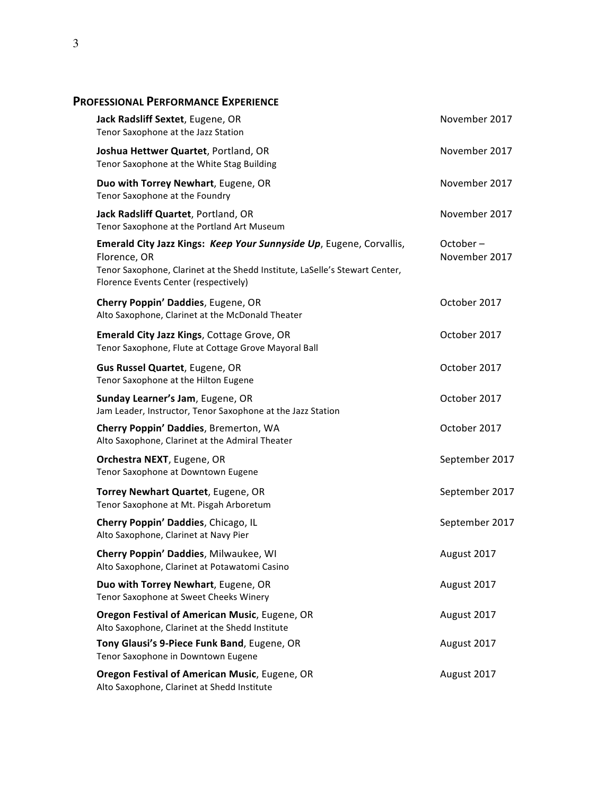# **PROFESSIONAL PERFORMANCE EXPERIENCE**

| Jack Radsliff Sextet, Eugene, OR<br>Tenor Saxophone at the Jazz Station                                                                                                                                     | November 2017                |
|-------------------------------------------------------------------------------------------------------------------------------------------------------------------------------------------------------------|------------------------------|
| Joshua Hettwer Quartet, Portland, OR<br>Tenor Saxophone at the White Stag Building                                                                                                                          | November 2017                |
| Duo with Torrey Newhart, Eugene, OR<br>Tenor Saxophone at the Foundry                                                                                                                                       | November 2017                |
| Jack Radsliff Quartet, Portland, OR<br>Tenor Saxophone at the Portland Art Museum                                                                                                                           | November 2017                |
| Emerald City Jazz Kings: Keep Your Sunnyside Up, Eugene, Corvallis,<br>Florence, OR<br>Tenor Saxophone, Clarinet at the Shedd Institute, LaSelle's Stewart Center,<br>Florence Events Center (respectively) | $October -$<br>November 2017 |
| Cherry Poppin' Daddies, Eugene, OR<br>Alto Saxophone, Clarinet at the McDonald Theater                                                                                                                      | October 2017                 |
| <b>Emerald City Jazz Kings, Cottage Grove, OR</b><br>Tenor Saxophone, Flute at Cottage Grove Mayoral Ball                                                                                                   | October 2017                 |
| <b>Gus Russel Quartet, Eugene, OR</b><br>Tenor Saxophone at the Hilton Eugene                                                                                                                               | October 2017                 |
| Sunday Learner's Jam, Eugene, OR<br>Jam Leader, Instructor, Tenor Saxophone at the Jazz Station                                                                                                             | October 2017                 |
| Cherry Poppin' Daddies, Bremerton, WA<br>Alto Saxophone, Clarinet at the Admiral Theater                                                                                                                    | October 2017                 |
| <b>Orchestra NEXT, Eugene, OR</b><br>Tenor Saxophone at Downtown Eugene                                                                                                                                     | September 2017               |
| Torrey Newhart Quartet, Eugene, OR<br>Tenor Saxophone at Mt. Pisgah Arboretum                                                                                                                               | September 2017               |
| Cherry Poppin' Daddies, Chicago, IL<br>Alto Saxophone, Clarinet at Navy Pier                                                                                                                                | September 2017               |
| Cherry Poppin' Daddies, Milwaukee, WI<br>Alto Saxophone, Clarinet at Potawatomi Casino                                                                                                                      | August 2017                  |
| Duo with Torrey Newhart, Eugene, OR<br>Tenor Saxophone at Sweet Cheeks Winery                                                                                                                               | August 2017                  |
| Oregon Festival of American Music, Eugene, OR<br>Alto Saxophone, Clarinet at the Shedd Institute                                                                                                            | August 2017                  |
| Tony Glausi's 9-Piece Funk Band, Eugene, OR<br>Tenor Saxophone in Downtown Eugene                                                                                                                           | August 2017                  |
| Oregon Festival of American Music, Eugene, OR<br>Alto Saxophone, Clarinet at Shedd Institute                                                                                                                | August 2017                  |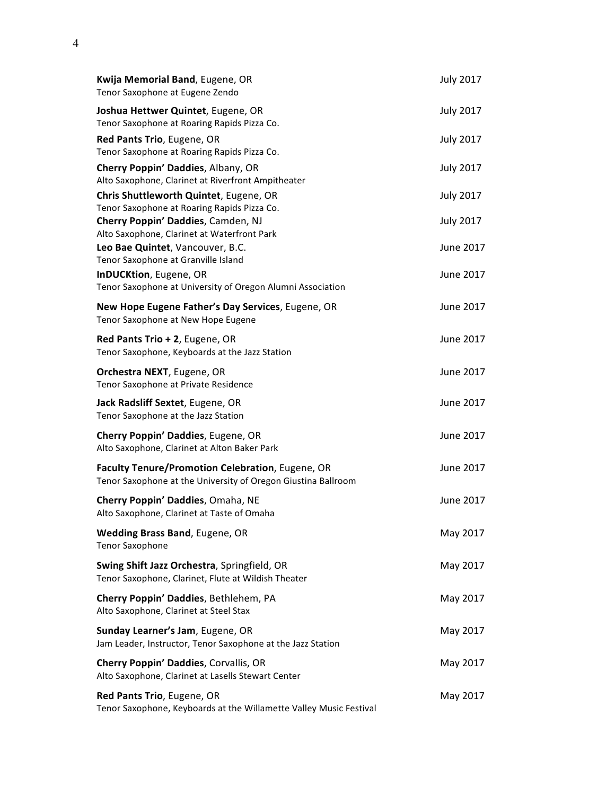| Kwija Memorial Band, Eugene, OR<br>Tenor Saxophone at Eugene Zendo                                                | <b>July 2017</b>       |
|-------------------------------------------------------------------------------------------------------------------|------------------------|
| Joshua Hettwer Quintet, Eugene, OR<br>Tenor Saxophone at Roaring Rapids Pizza Co.                                 | <b>July 2017</b>       |
| Red Pants Trio, Eugene, OR<br>Tenor Saxophone at Roaring Rapids Pizza Co.                                         | <b>July 2017</b>       |
| Cherry Poppin' Daddies, Albany, OR<br>Alto Saxophone, Clarinet at Riverfront Ampitheater                          | <b>July 2017</b>       |
| Chris Shuttleworth Quintet, Eugene, OR<br>Tenor Saxophone at Roaring Rapids Pizza Co.                             | <b>July 2017</b>       |
| Cherry Poppin' Daddies, Camden, NJ<br>Alto Saxophone, Clarinet at Waterfront Park                                 | <b>July 2017</b>       |
| Leo Bae Quintet, Vancouver, B.C.<br>Tenor Saxophone at Granville Island<br>InDUCKtion, Eugene, OR                 | June 2017<br>June 2017 |
| Tenor Saxophone at University of Oregon Alumni Association                                                        |                        |
| New Hope Eugene Father's Day Services, Eugene, OR<br>Tenor Saxophone at New Hope Eugene                           | June 2017              |
| Red Pants Trio + 2, Eugene, OR<br>Tenor Saxophone, Keyboards at the Jazz Station                                  | June 2017              |
| Orchestra NEXT, Eugene, OR<br>Tenor Saxophone at Private Residence                                                | June 2017              |
| Jack Radsliff Sextet, Eugene, OR<br>Tenor Saxophone at the Jazz Station                                           | June 2017              |
| Cherry Poppin' Daddies, Eugene, OR<br>Alto Saxophone, Clarinet at Alton Baker Park                                | June 2017              |
| Faculty Tenure/Promotion Celebration, Eugene, OR<br>Tenor Saxophone at the University of Oregon Giustina Ballroom | June 2017              |
| Cherry Poppin' Daddies, Omaha, NE<br>Alto Saxophone, Clarinet at Taste of Omaha                                   | June 2017              |
| <b>Wedding Brass Band, Eugene, OR</b><br><b>Tenor Saxophone</b>                                                   | May 2017               |
| Swing Shift Jazz Orchestra, Springfield, OR<br>Tenor Saxophone, Clarinet, Flute at Wildish Theater                | May 2017               |
| Cherry Poppin' Daddies, Bethlehem, PA<br>Alto Saxophone, Clarinet at Steel Stax                                   | May 2017               |
| Sunday Learner's Jam, Eugene, OR<br>Jam Leader, Instructor, Tenor Saxophone at the Jazz Station                   | May 2017               |
| Cherry Poppin' Daddies, Corvallis, OR<br>Alto Saxophone, Clarinet at Lasells Stewart Center                       | May 2017               |
| Red Pants Trio, Eugene, OR<br>Tenor Saxophone, Keyboards at the Willamette Valley Music Festival                  | May 2017               |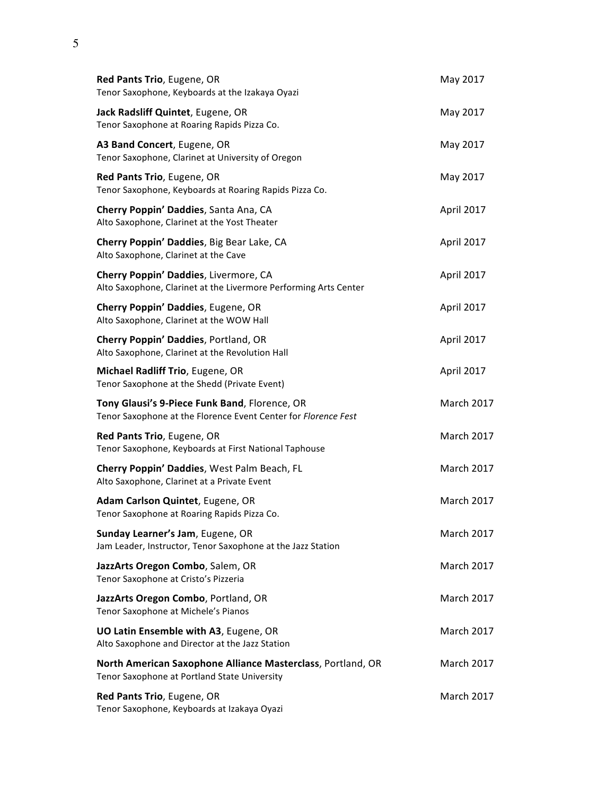| Red Pants Trio, Eugene, OR<br>Tenor Saxophone, Keyboards at the Izakaya Oyazi                                   | May 2017          |
|-----------------------------------------------------------------------------------------------------------------|-------------------|
| Jack Radsliff Quintet, Eugene, OR<br>Tenor Saxophone at Roaring Rapids Pizza Co.                                | May 2017          |
| A3 Band Concert, Eugene, OR<br>Tenor Saxophone, Clarinet at University of Oregon                                | May 2017          |
| Red Pants Trio, Eugene, OR<br>Tenor Saxophone, Keyboards at Roaring Rapids Pizza Co.                            | May 2017          |
| Cherry Poppin' Daddies, Santa Ana, CA<br>Alto Saxophone, Clarinet at the Yost Theater                           | April 2017        |
| Cherry Poppin' Daddies, Big Bear Lake, CA<br>Alto Saxophone, Clarinet at the Cave                               | April 2017        |
| Cherry Poppin' Daddies, Livermore, CA<br>Alto Saxophone, Clarinet at the Livermore Performing Arts Center       | April 2017        |
| Cherry Poppin' Daddies, Eugene, OR<br>Alto Saxophone, Clarinet at the WOW Hall                                  | April 2017        |
| Cherry Poppin' Daddies, Portland, OR<br>Alto Saxophone, Clarinet at the Revolution Hall                         | April 2017        |
| Michael Radliff Trio, Eugene, OR<br>Tenor Saxophone at the Shedd (Private Event)                                | April 2017        |
| Tony Glausi's 9-Piece Funk Band, Florence, OR<br>Tenor Saxophone at the Florence Event Center for Florence Fest | <b>March 2017</b> |
| Red Pants Trio, Eugene, OR<br>Tenor Saxophone, Keyboards at First National Taphouse                             | <b>March 2017</b> |
| Cherry Poppin' Daddies, West Palm Beach, FL<br>Alto Saxophone, Clarinet at a Private Event                      | <b>March 2017</b> |
| Adam Carlson Quintet, Eugene, OR<br>Tenor Saxophone at Roaring Rapids Pizza Co.                                 | <b>March 2017</b> |
| Sunday Learner's Jam, Eugene, OR<br>Jam Leader, Instructor, Tenor Saxophone at the Jazz Station                 | <b>March 2017</b> |
| JazzArts Oregon Combo, Salem, OR<br>Tenor Saxophone at Cristo's Pizzeria                                        | <b>March 2017</b> |
| JazzArts Oregon Combo, Portland, OR<br>Tenor Saxophone at Michele's Pianos                                      | <b>March 2017</b> |
| UO Latin Ensemble with A3, Eugene, OR<br>Alto Saxophone and Director at the Jazz Station                        | <b>March 2017</b> |
| North American Saxophone Alliance Masterclass, Portland, OR<br>Tenor Saxophone at Portland State University     | <b>March 2017</b> |
| Red Pants Trio, Eugene, OR<br>Tenor Saxophone, Keyboards at Izakaya Oyazi                                       | <b>March 2017</b> |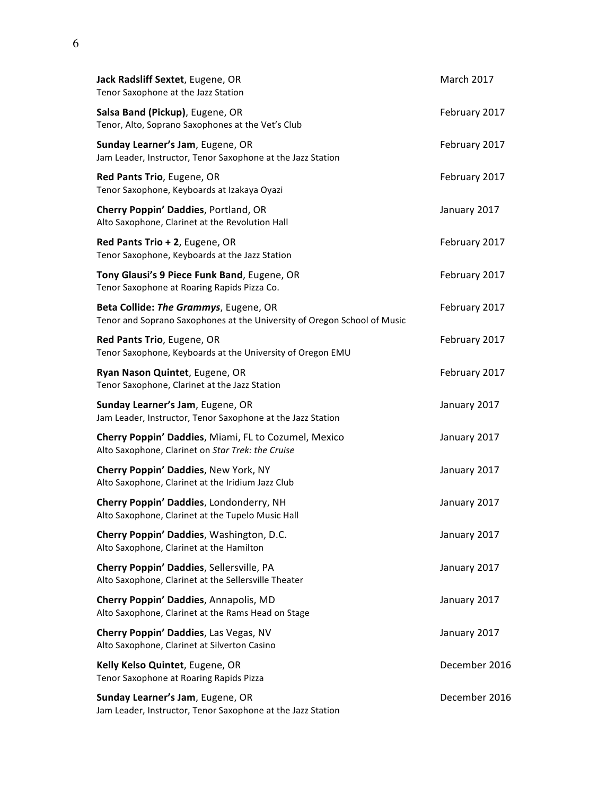| Jack Radsliff Sextet, Eugene, OR<br>Tenor Saxophone at the Jazz Station                                           | <b>March 2017</b> |
|-------------------------------------------------------------------------------------------------------------------|-------------------|
| Salsa Band (Pickup), Eugene, OR<br>Tenor, Alto, Soprano Saxophones at the Vet's Club                              | February 2017     |
| Sunday Learner's Jam, Eugene, OR<br>Jam Leader, Instructor, Tenor Saxophone at the Jazz Station                   | February 2017     |
| Red Pants Trio, Eugene, OR<br>Tenor Saxophone, Keyboards at Izakaya Oyazi                                         | February 2017     |
| Cherry Poppin' Daddies, Portland, OR<br>Alto Saxophone, Clarinet at the Revolution Hall                           | January 2017      |
| Red Pants Trio + 2, Eugene, OR<br>Tenor Saxophone, Keyboards at the Jazz Station                                  | February 2017     |
| Tony Glausi's 9 Piece Funk Band, Eugene, OR<br>Tenor Saxophone at Roaring Rapids Pizza Co.                        | February 2017     |
| Beta Collide: The Grammys, Eugene, OR<br>Tenor and Soprano Saxophones at the University of Oregon School of Music | February 2017     |
| Red Pants Trio, Eugene, OR<br>Tenor Saxophone, Keyboards at the University of Oregon EMU                          | February 2017     |
| Ryan Nason Quintet, Eugene, OR<br>Tenor Saxophone, Clarinet at the Jazz Station                                   | February 2017     |
| Sunday Learner's Jam, Eugene, OR<br>Jam Leader, Instructor, Tenor Saxophone at the Jazz Station                   | January 2017      |
| Cherry Poppin' Daddies, Miami, FL to Cozumel, Mexico<br>Alto Saxophone, Clarinet on Star Trek: the Cruise         | January 2017      |
| Cherry Poppin' Daddies, New York, NY<br>Alto Saxophone, Clarinet at the Iridium Jazz Club                         | January 2017      |
| Cherry Poppin' Daddies, Londonderry, NH<br>Alto Saxophone, Clarinet at the Tupelo Music Hall                      | January 2017      |
| Cherry Poppin' Daddies, Washington, D.C.<br>Alto Saxophone, Clarinet at the Hamilton                              | January 2017      |
| Cherry Poppin' Daddies, Sellersville, PA<br>Alto Saxophone, Clarinet at the Sellersville Theater                  | January 2017      |
| Cherry Poppin' Daddies, Annapolis, MD<br>Alto Saxophone, Clarinet at the Rams Head on Stage                       | January 2017      |
| Cherry Poppin' Daddies, Las Vegas, NV<br>Alto Saxophone, Clarinet at Silverton Casino                             | January 2017      |
| Kelly Kelso Quintet, Eugene, OR<br>Tenor Saxophone at Roaring Rapids Pizza                                        | December 2016     |
| Sunday Learner's Jam, Eugene, OR<br>Jam Leader, Instructor, Tenor Saxophone at the Jazz Station                   | December 2016     |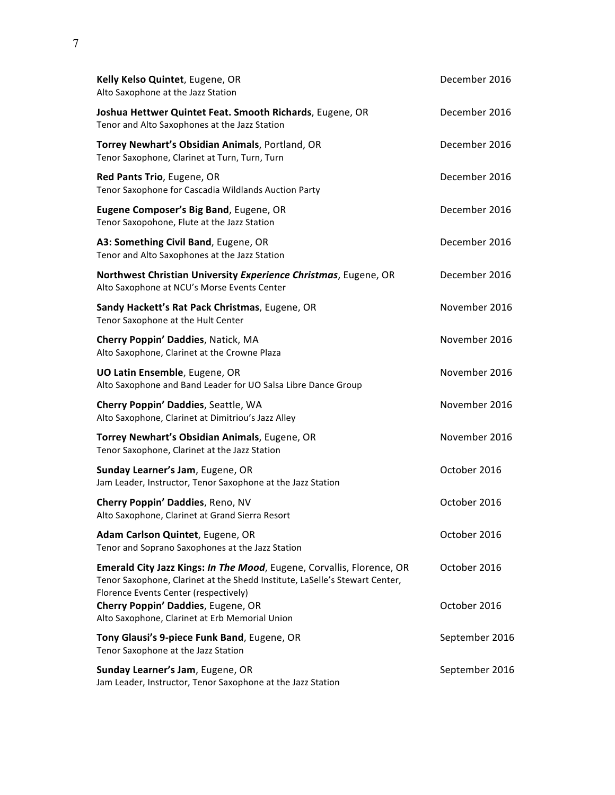| Kelly Kelso Quintet, Eugene, OR<br>Alto Saxophone at the Jazz Station                                                                                                                         | December 2016  |
|-----------------------------------------------------------------------------------------------------------------------------------------------------------------------------------------------|----------------|
| Joshua Hettwer Quintet Feat. Smooth Richards, Eugene, OR<br>Tenor and Alto Saxophones at the Jazz Station                                                                                     | December 2016  |
| Torrey Newhart's Obsidian Animals, Portland, OR<br>Tenor Saxophone, Clarinet at Turn, Turn, Turn                                                                                              | December 2016  |
| Red Pants Trio, Eugene, OR<br>Tenor Saxophone for Cascadia Wildlands Auction Party                                                                                                            | December 2016  |
| Eugene Composer's Big Band, Eugene, OR<br>Tenor Saxopohone, Flute at the Jazz Station                                                                                                         | December 2016  |
| A3: Something Civil Band, Eugene, OR<br>Tenor and Alto Saxophones at the Jazz Station                                                                                                         | December 2016  |
| Northwest Christian University Experience Christmas, Eugene, OR<br>Alto Saxophone at NCU's Morse Events Center                                                                                | December 2016  |
| Sandy Hackett's Rat Pack Christmas, Eugene, OR<br>Tenor Saxophone at the Hult Center                                                                                                          | November 2016  |
| Cherry Poppin' Daddies, Natick, MA<br>Alto Saxophone, Clarinet at the Crowne Plaza                                                                                                            | November 2016  |
| UO Latin Ensemble, Eugene, OR<br>Alto Saxophone and Band Leader for UO Salsa Libre Dance Group                                                                                                | November 2016  |
| Cherry Poppin' Daddies, Seattle, WA<br>Alto Saxophone, Clarinet at Dimitriou's Jazz Alley                                                                                                     | November 2016  |
| Torrey Newhart's Obsidian Animals, Eugene, OR<br>Tenor Saxophone, Clarinet at the Jazz Station                                                                                                | November 2016  |
| Sunday Learner's Jam, Eugene, OR<br>Jam Leader, Instructor, Tenor Saxophone at the Jazz Station                                                                                               | October 2016   |
| Cherry Poppin' Daddies, Reno, NV<br>Alto Saxophone, Clarinet at Grand Sierra Resort                                                                                                           | October 2016   |
| Adam Carlson Quintet, Eugene, OR<br>Tenor and Soprano Saxophones at the Jazz Station                                                                                                          | October 2016   |
| Emerald City Jazz Kings: In The Mood, Eugene, Corvallis, Florence, OR<br>Tenor Saxophone, Clarinet at the Shedd Institute, LaSelle's Stewart Center,<br>Florence Events Center (respectively) | October 2016   |
| Cherry Poppin' Daddies, Eugene, OR<br>Alto Saxophone, Clarinet at Erb Memorial Union                                                                                                          | October 2016   |
| Tony Glausi's 9-piece Funk Band, Eugene, OR<br>Tenor Saxophone at the Jazz Station                                                                                                            | September 2016 |
| Sunday Learner's Jam, Eugene, OR<br>Jam Leader, Instructor, Tenor Saxophone at the Jazz Station                                                                                               | September 2016 |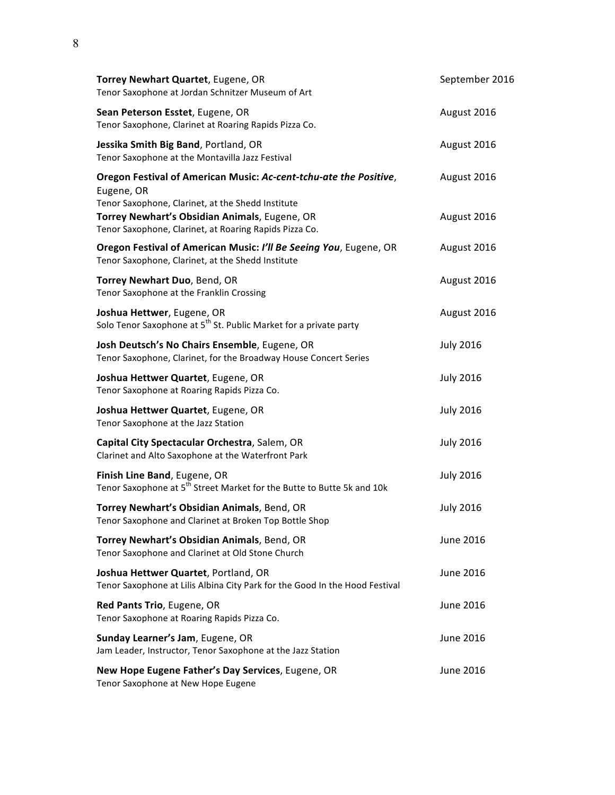| Torrey Newhart Quartet, Eugene, OR<br>Tenor Saxophone at Jordan Schnitzer Museum of Art                                              | September 2016   |
|--------------------------------------------------------------------------------------------------------------------------------------|------------------|
| Sean Peterson Esstet, Eugene, OR<br>Tenor Saxophone, Clarinet at Roaring Rapids Pizza Co.                                            | August 2016      |
| Jessika Smith Big Band, Portland, OR<br>Tenor Saxophone at the Montavilla Jazz Festival                                              | August 2016      |
| Oregon Festival of American Music: Ac-cent-tchu-ate the Positive,<br>Eugene, OR<br>Tenor Saxophone, Clarinet, at the Shedd Institute | August 2016      |
| Torrey Newhart's Obsidian Animals, Eugene, OR<br>Tenor Saxophone, Clarinet, at Roaring Rapids Pizza Co.                              | August 2016      |
| Oregon Festival of American Music: I'll Be Seeing You, Eugene, OR<br>Tenor Saxophone, Clarinet, at the Shedd Institute               | August 2016      |
| Torrey Newhart Duo, Bend, OR<br>Tenor Saxophone at the Franklin Crossing                                                             | August 2016      |
| Joshua Hettwer, Eugene, OR<br>Solo Tenor Saxophone at 5 <sup>th</sup> St. Public Market for a private party                          | August 2016      |
| Josh Deutsch's No Chairs Ensemble, Eugene, OR<br>Tenor Saxophone, Clarinet, for the Broadway House Concert Series                    | <b>July 2016</b> |
| Joshua Hettwer Quartet, Eugene, OR<br>Tenor Saxophone at Roaring Rapids Pizza Co.                                                    | <b>July 2016</b> |
| Joshua Hettwer Quartet, Eugene, OR<br>Tenor Saxophone at the Jazz Station                                                            | <b>July 2016</b> |
| Capital City Spectacular Orchestra, Salem, OR<br>Clarinet and Alto Saxophone at the Waterfront Park                                  | <b>July 2016</b> |
| Finish Line Band, Eugene, OR<br>Tenor Saxophone at 5 <sup>th</sup> Street Market for the Butte to Butte 5k and 10k                   | <b>July 2016</b> |
| Torrey Newhart's Obsidian Animals, Bend, OR<br>Tenor Saxophone and Clarinet at Broken Top Bottle Shop                                | <b>July 2016</b> |
| Torrey Newhart's Obsidian Animals, Bend, OR<br>Tenor Saxophone and Clarinet at Old Stone Church                                      | <b>June 2016</b> |
| Joshua Hettwer Quartet, Portland, OR<br>Tenor Saxophone at Lilis Albina City Park for the Good In the Hood Festival                  | June 2016        |
| Red Pants Trio, Eugene, OR<br>Tenor Saxophone at Roaring Rapids Pizza Co.                                                            | June 2016        |
| Sunday Learner's Jam, Eugene, OR<br>Jam Leader, Instructor, Tenor Saxophone at the Jazz Station                                      | June 2016        |
| New Hope Eugene Father's Day Services, Eugene, OR<br>Tenor Saxophone at New Hope Eugene                                              | June 2016        |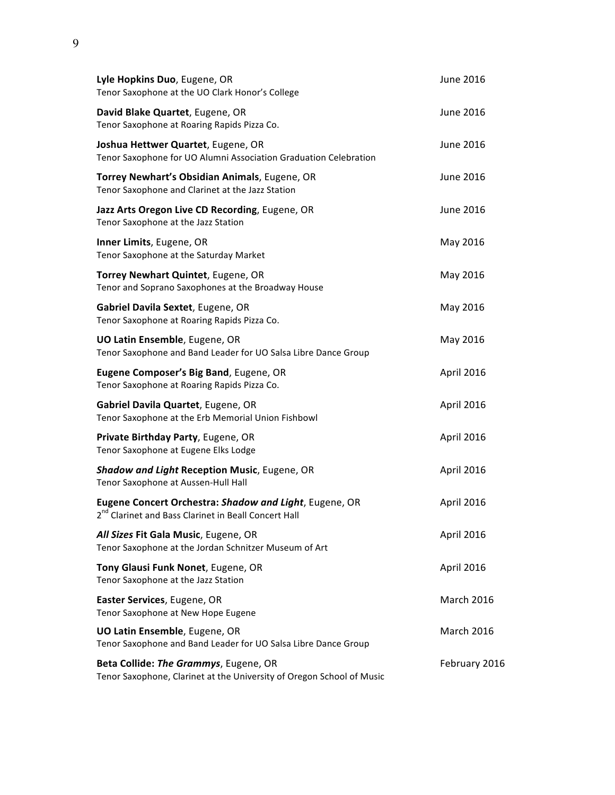| Lyle Hopkins Duo, Eugene, OR<br>Tenor Saxophone at the UO Clark Honor's College                                            | June 2016         |
|----------------------------------------------------------------------------------------------------------------------------|-------------------|
| David Blake Quartet, Eugene, OR<br>Tenor Saxophone at Roaring Rapids Pizza Co.                                             | June 2016         |
| Joshua Hettwer Quartet, Eugene, OR<br>Tenor Saxophone for UO Alumni Association Graduation Celebration                     | June 2016         |
| Torrey Newhart's Obsidian Animals, Eugene, OR<br>Tenor Saxophone and Clarinet at the Jazz Station                          | June 2016         |
| Jazz Arts Oregon Live CD Recording, Eugene, OR<br>Tenor Saxophone at the Jazz Station                                      | June 2016         |
| Inner Limits, Eugene, OR<br>Tenor Saxophone at the Saturday Market                                                         | May 2016          |
| Torrey Newhart Quintet, Eugene, OR<br>Tenor and Soprano Saxophones at the Broadway House                                   | May 2016          |
| Gabriel Davila Sextet, Eugene, OR<br>Tenor Saxophone at Roaring Rapids Pizza Co.                                           | May 2016          |
| <b>UO Latin Ensemble, Eugene, OR</b><br>Tenor Saxophone and Band Leader for UO Salsa Libre Dance Group                     | May 2016          |
| Eugene Composer's Big Band, Eugene, OR<br>Tenor Saxophone at Roaring Rapids Pizza Co.                                      | April 2016        |
| Gabriel Davila Quartet, Eugene, OR<br>Tenor Saxophone at the Erb Memorial Union Fishbowl                                   | April 2016        |
| Private Birthday Party, Eugene, OR<br>Tenor Saxophone at Eugene Elks Lodge                                                 | April 2016        |
| <b>Shadow and Light Reception Music, Eugene, OR</b><br>Tenor Saxophone at Aussen-Hull Hall                                 | April 2016        |
| Eugene Concert Orchestra: Shadow and Light, Eugene, OR<br>2 <sup>nd</sup> Clarinet and Bass Clarinet in Beall Concert Hall | April 2016        |
| All Sizes Fit Gala Music, Eugene, OR<br>Tenor Saxophone at the Jordan Schnitzer Museum of Art                              | April 2016        |
| Tony Glausi Funk Nonet, Eugene, OR<br>Tenor Saxophone at the Jazz Station                                                  | April 2016        |
| Easter Services, Eugene, OR<br>Tenor Saxophone at New Hope Eugene                                                          | <b>March 2016</b> |
| <b>UO Latin Ensemble, Eugene, OR</b><br>Tenor Saxophone and Band Leader for UO Salsa Libre Dance Group                     | <b>March 2016</b> |
| Beta Collide: The Grammys, Eugene, OR<br>Tenor Saxophone, Clarinet at the University of Oregon School of Music             | February 2016     |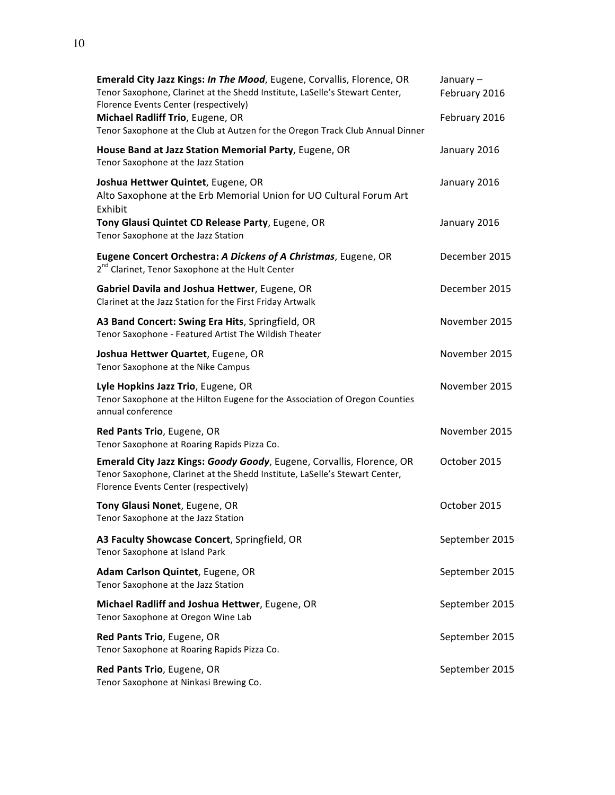| <b>Emerald City Jazz Kings: In The Mood, Eugene, Corvallis, Florence, OR</b><br>Tenor Saxophone, Clarinet at the Shedd Institute, LaSelle's Stewart Center,<br>Florence Events Center (respectively)<br>Michael Radliff Trio, Eugene, OR<br>Tenor Saxophone at the Club at Autzen for the Oregon Track Club Annual Dinner |
|---------------------------------------------------------------------------------------------------------------------------------------------------------------------------------------------------------------------------------------------------------------------------------------------------------------------------|
| House Band at Jazz Station Memorial Party, Eugene, OR<br>Tenor Saxophone at the Jazz Station                                                                                                                                                                                                                              |
| <b>Joshua Hettwer Quintet</b> , Eugene, OR<br>Alto Saxophone at the Erb Memorial Union for UO Cultural Forum Art<br>Exhibit                                                                                                                                                                                               |
| Tony Glausi Quintet CD Release Party, Eugene, OR                                                                                                                                                                                                                                                                          |

Tenor Saxophone at the Jazz Station

**Eugene Concert Orchestra: A Dickens of A Christmas, Eugene, OR** 2<sup>nd</sup> Clarinet, Tenor Saxophone at the Hult Center December 2015 **Gabriel Davila and Joshua Hettwer, Eugene, OR** Clarinet at the Jazz Station for the First Friday Artwalk December 2015 **A3 Band Concert: Swing Era Hits, Springfield, OR** Tenor Saxophone - Featured Artist The Wildish Theater November 2015 **Joshua Hettwer Quartet, Eugene, OR** Tenor Saxophone at the Nike Campus November 2015 **Lyle Hopkins Jazz Trio**, Eugene, OR Tenor Saxophone at the Hilton Eugene for the Association of Oregon Counties annual conference November 2015 **Red Pants Trio**, Eugene, OR Tenor Saxophone at Roaring Rapids Pizza Co. November 2015

January – February 2016

February 2016

January 2016

January 2016

January 2016

September 2015

September 2015

**Emerald City Jazz Kings: Goody Goody**, Eugene, Corvallis, Florence, OR Tenor Saxophone, Clarinet at the Shedd Institute, LaSelle's Stewart Center, Florence Events Center (respectively) October 2015

**Tony Glausi Nonet, Eugene, OR** Tenor Saxophone at the Jazz Station October 2015 A3 Faculty Showcase Concert, Springfield, OR Tenor Saxophone at Island Park September 2015 **Adam Carlson Quintet, Eugene, OR** Tenor Saxophone at the Jazz Station September 2015 **Michael Radliff and Joshua Hettwer, Eugene, OR** Tenor Saxophone at Oregon Wine Lab September 2015

**Red Pants Trio**, Eugene, OR Tenor Saxophone at Roaring Rapids Pizza Co.

**Red Pants Trio**, Eugene, OR Tenor Saxophone at Ninkasi Brewing Co.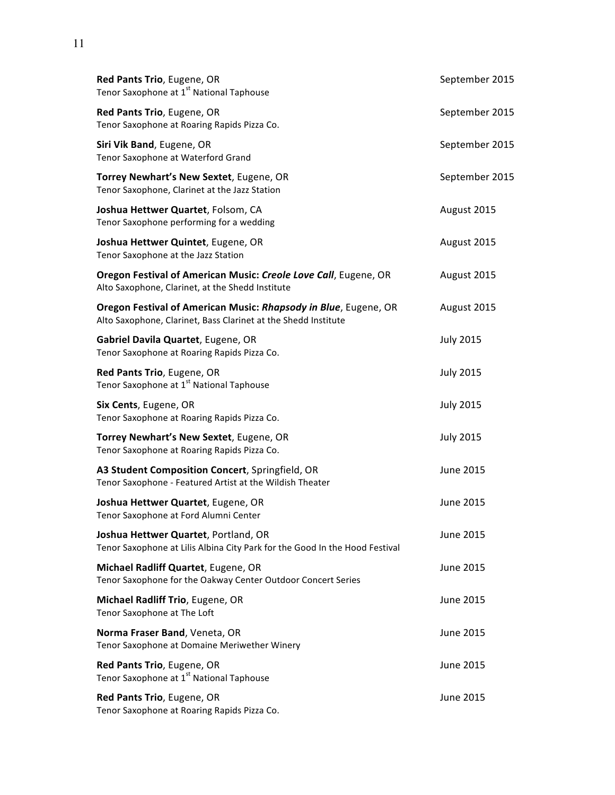| Red Pants Trio, Eugene, OR<br>Tenor Saxophone at 1 <sup>st</sup> National Taphouse                                                | September 2015   |
|-----------------------------------------------------------------------------------------------------------------------------------|------------------|
| Red Pants Trio, Eugene, OR<br>Tenor Saxophone at Roaring Rapids Pizza Co.                                                         | September 2015   |
| Siri Vik Band, Eugene, OR<br>Tenor Saxophone at Waterford Grand                                                                   | September 2015   |
| Torrey Newhart's New Sextet, Eugene, OR<br>Tenor Saxophone, Clarinet at the Jazz Station                                          | September 2015   |
| Joshua Hettwer Quartet, Folsom, CA<br>Tenor Saxophone performing for a wedding                                                    | August 2015      |
| Joshua Hettwer Quintet, Eugene, OR<br>Tenor Saxophone at the Jazz Station                                                         | August 2015      |
| Oregon Festival of American Music: Creole Love Call, Eugene, OR<br>Alto Saxophone, Clarinet, at the Shedd Institute               | August 2015      |
| Oregon Festival of American Music: Rhapsody in Blue, Eugene, OR<br>Alto Saxophone, Clarinet, Bass Clarinet at the Shedd Institute | August 2015      |
| Gabriel Davila Quartet, Eugene, OR<br>Tenor Saxophone at Roaring Rapids Pizza Co.                                                 | <b>July 2015</b> |
| Red Pants Trio, Eugene, OR<br>Tenor Saxophone at 1 <sup>st</sup> National Taphouse                                                | <b>July 2015</b> |
| Six Cents, Eugene, OR<br>Tenor Saxophone at Roaring Rapids Pizza Co.                                                              | <b>July 2015</b> |
| Torrey Newhart's New Sextet, Eugene, OR<br>Tenor Saxophone at Roaring Rapids Pizza Co.                                            | <b>July 2015</b> |
| A3 Student Composition Concert, Springfield, OR<br>Tenor Saxophone - Featured Artist at the Wildish Theater                       | June 2015        |
| Joshua Hettwer Quartet, Eugene, OR<br>Tenor Saxophone at Ford Alumni Center                                                       | June 2015        |
| Joshua Hettwer Quartet, Portland, OR<br>Tenor Saxophone at Lilis Albina City Park for the Good In the Hood Festival               | June 2015        |
| Michael Radliff Quartet, Eugene, OR<br>Tenor Saxophone for the Oakway Center Outdoor Concert Series                               | June 2015        |
| Michael Radliff Trio, Eugene, OR<br>Tenor Saxophone at The Loft                                                                   | June 2015        |
| Norma Fraser Band, Veneta, OR<br>Tenor Saxophone at Domaine Meriwether Winery                                                     | June 2015        |
| Red Pants Trio, Eugene, OR<br>Tenor Saxophone at 1 <sup>st</sup> National Taphouse                                                | June 2015        |
| Red Pants Trio, Eugene, OR<br>Tenor Saxophone at Roaring Rapids Pizza Co.                                                         | June 2015        |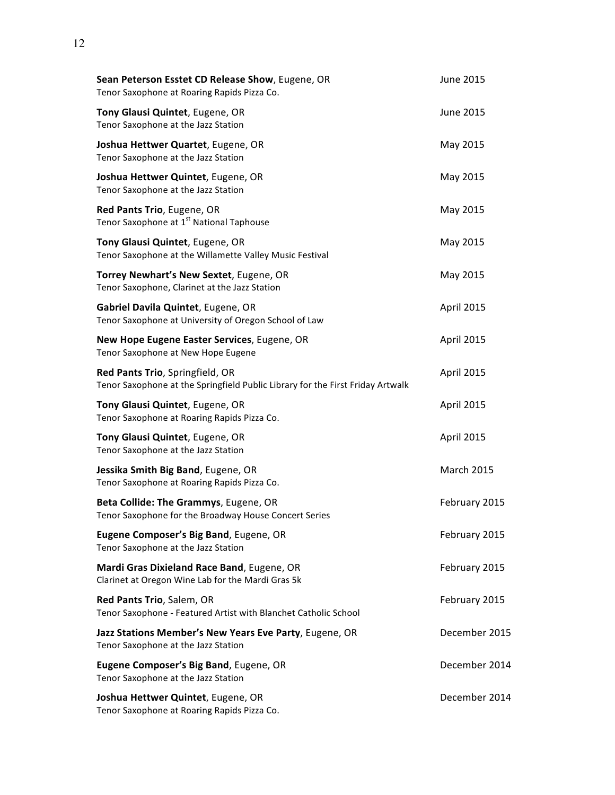| Sean Peterson Esstet CD Release Show, Eugene, OR<br>Tenor Saxophone at Roaring Rapids Pizza Co.                   | June 2015         |
|-------------------------------------------------------------------------------------------------------------------|-------------------|
| Tony Glausi Quintet, Eugene, OR<br>Tenor Saxophone at the Jazz Station                                            | June 2015         |
| Joshua Hettwer Quartet, Eugene, OR<br>Tenor Saxophone at the Jazz Station                                         | May 2015          |
| Joshua Hettwer Quintet, Eugene, OR<br>Tenor Saxophone at the Jazz Station                                         | May 2015          |
| Red Pants Trio, Eugene, OR<br>Tenor Saxophone at 1 <sup>st</sup> National Taphouse                                | May 2015          |
| Tony Glausi Quintet, Eugene, OR<br>Tenor Saxophone at the Willamette Valley Music Festival                        | May 2015          |
| Torrey Newhart's New Sextet, Eugene, OR<br>Tenor Saxophone, Clarinet at the Jazz Station                          | May 2015          |
| Gabriel Davila Quintet, Eugene, OR<br>Tenor Saxophone at University of Oregon School of Law                       | April 2015        |
| New Hope Eugene Easter Services, Eugene, OR<br>Tenor Saxophone at New Hope Eugene                                 | April 2015        |
| Red Pants Trio, Springfield, OR<br>Tenor Saxophone at the Springfield Public Library for the First Friday Artwalk | April 2015        |
| Tony Glausi Quintet, Eugene, OR<br>Tenor Saxophone at Roaring Rapids Pizza Co.                                    | April 2015        |
| Tony Glausi Quintet, Eugene, OR<br>Tenor Saxophone at the Jazz Station                                            | April 2015        |
| Jessika Smith Big Band, Eugene, OR<br>Tenor Saxophone at Roaring Rapids Pizza Co.                                 | <b>March 2015</b> |
| Beta Collide: The Grammys, Eugene, OR<br>Tenor Saxophone for the Broadway House Concert Series                    | February 2015     |
| Eugene Composer's Big Band, Eugene, OR<br>Tenor Saxophone at the Jazz Station                                     | February 2015     |
| Mardi Gras Dixieland Race Band, Eugene, OR<br>Clarinet at Oregon Wine Lab for the Mardi Gras 5k                   | February 2015     |
| Red Pants Trio, Salem, OR<br>Tenor Saxophone - Featured Artist with Blanchet Catholic School                      | February 2015     |
| Jazz Stations Member's New Years Eve Party, Eugene, OR<br>Tenor Saxophone at the Jazz Station                     | December 2015     |
| Eugene Composer's Big Band, Eugene, OR<br>Tenor Saxophone at the Jazz Station                                     | December 2014     |
| Joshua Hettwer Quintet, Eugene, OR<br>Tenor Saxophone at Roaring Rapids Pizza Co.                                 | December 2014     |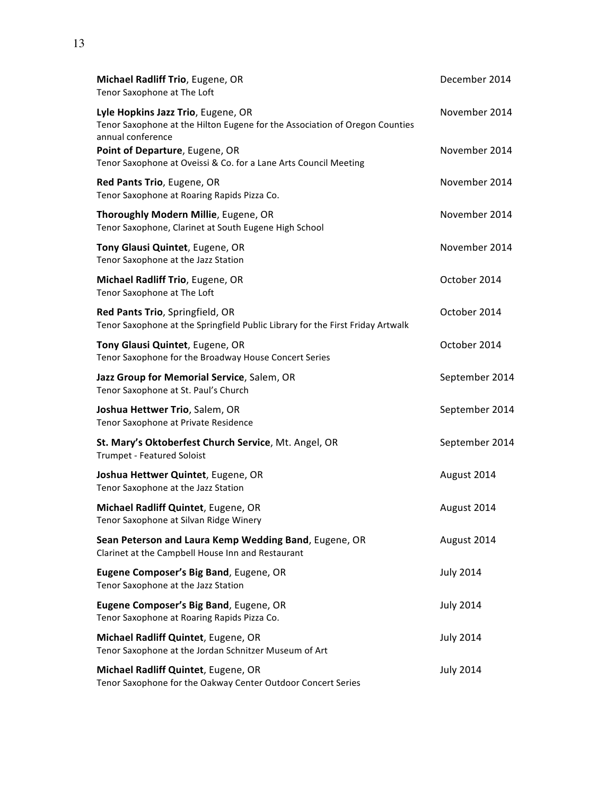| Michael Radliff Trio, Eugene, OR<br>Tenor Saxophone at The Loft                                                                        | December 2014    |
|----------------------------------------------------------------------------------------------------------------------------------------|------------------|
| Lyle Hopkins Jazz Trio, Eugene, OR<br>Tenor Saxophone at the Hilton Eugene for the Association of Oregon Counties<br>annual conference | November 2014    |
| Point of Departure, Eugene, OR<br>Tenor Saxophone at Oveissi & Co. for a Lane Arts Council Meeting                                     | November 2014    |
| Red Pants Trio, Eugene, OR<br>Tenor Saxophone at Roaring Rapids Pizza Co.                                                              | November 2014    |
| Thoroughly Modern Millie, Eugene, OR<br>Tenor Saxophone, Clarinet at South Eugene High School                                          | November 2014    |
| Tony Glausi Quintet, Eugene, OR<br>Tenor Saxophone at the Jazz Station                                                                 | November 2014    |
| Michael Radliff Trio, Eugene, OR<br>Tenor Saxophone at The Loft                                                                        | October 2014     |
| Red Pants Trio, Springfield, OR<br>Tenor Saxophone at the Springfield Public Library for the First Friday Artwalk                      | October 2014     |
| Tony Glausi Quintet, Eugene, OR<br>Tenor Saxophone for the Broadway House Concert Series                                               | October 2014     |
| Jazz Group for Memorial Service, Salem, OR<br>Tenor Saxophone at St. Paul's Church                                                     | September 2014   |
| Joshua Hettwer Trio, Salem, OR<br>Tenor Saxophone at Private Residence                                                                 | September 2014   |
| St. Mary's Oktoberfest Church Service, Mt. Angel, OR<br><b>Trumpet - Featured Soloist</b>                                              | September 2014   |
| Joshua Hettwer Quintet, Eugene, OR<br>Tenor Saxophone at the Jazz Station                                                              | August 2014      |
| Michael Radliff Quintet, Eugene, OR<br>Tenor Saxophone at Silvan Ridge Winery                                                          | August 2014      |
| Sean Peterson and Laura Kemp Wedding Band, Eugene, OR<br>Clarinet at the Campbell House Inn and Restaurant                             | August 2014      |
| Eugene Composer's Big Band, Eugene, OR<br>Tenor Saxophone at the Jazz Station                                                          | <b>July 2014</b> |
| Eugene Composer's Big Band, Eugene, OR<br>Tenor Saxophone at Roaring Rapids Pizza Co.                                                  | <b>July 2014</b> |
| Michael Radliff Quintet, Eugene, OR<br>Tenor Saxophone at the Jordan Schnitzer Museum of Art                                           | <b>July 2014</b> |
| Michael Radliff Quintet, Eugene, OR<br>Tenor Saxophone for the Oakway Center Outdoor Concert Series                                    | <b>July 2014</b> |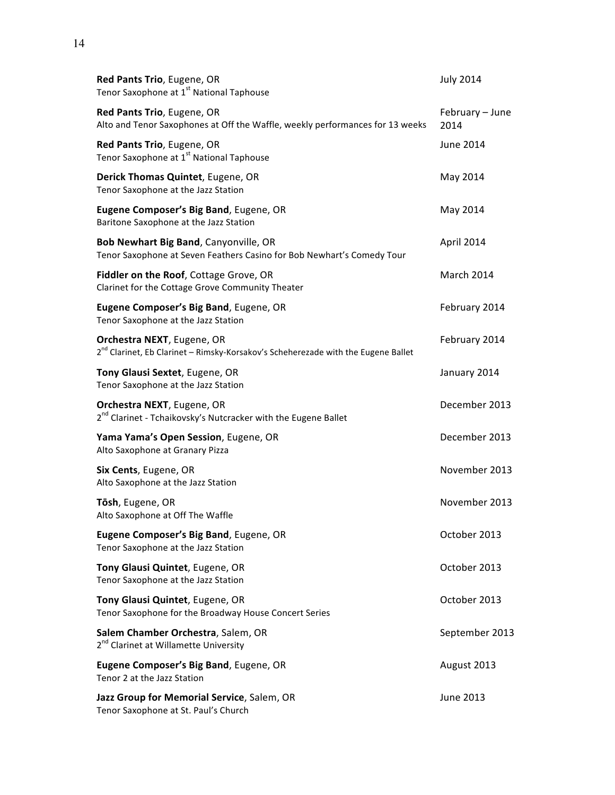| Red Pants Trio, Eugene, OR<br>Tenor Saxophone at 1 <sup>st</sup> National Taphouse                                          | <b>July 2014</b>        |
|-----------------------------------------------------------------------------------------------------------------------------|-------------------------|
| Red Pants Trio, Eugene, OR<br>Alto and Tenor Saxophones at Off the Waffle, weekly performances for 13 weeks                 | February - June<br>2014 |
| Red Pants Trio, Eugene, OR<br>Tenor Saxophone at 1 <sup>st</sup> National Taphouse                                          | June 2014               |
| Derick Thomas Quintet, Eugene, OR<br>Tenor Saxophone at the Jazz Station                                                    | May 2014                |
| Eugene Composer's Big Band, Eugene, OR<br>Baritone Saxophone at the Jazz Station                                            | May 2014                |
| Bob Newhart Big Band, Canyonville, OR<br>Tenor Saxophone at Seven Feathers Casino for Bob Newhart's Comedy Tour             | April 2014              |
| Fiddler on the Roof, Cottage Grove, OR<br>Clarinet for the Cottage Grove Community Theater                                  | <b>March 2014</b>       |
| Eugene Composer's Big Band, Eugene, OR<br>Tenor Saxophone at the Jazz Station                                               | February 2014           |
| Orchestra NEXT, Eugene, OR<br>2 <sup>nd</sup> Clarinet, Eb Clarinet - Rimsky-Korsakov's Scheherezade with the Eugene Ballet | February 2014           |
| Tony Glausi Sextet, Eugene, OR<br>Tenor Saxophone at the Jazz Station                                                       | January 2014            |
| Orchestra NEXT, Eugene, OR<br>2 <sup>nd</sup> Clarinet - Tchaikovsky's Nutcracker with the Eugene Ballet                    | December 2013           |
| Yama Yama's Open Session, Eugene, OR<br>Alto Saxophone at Granary Pizza                                                     | December 2013           |
| Six Cents, Eugene, OR<br>Alto Saxophone at the Jazz Station                                                                 | November 2013           |
| Tōsh, Eugene, OR<br>Alto Saxophone at Off The Waffle                                                                        | November 2013           |
| Eugene Composer's Big Band, Eugene, OR<br>Tenor Saxophone at the Jazz Station                                               | October 2013            |
| Tony Glausi Quintet, Eugene, OR<br>Tenor Saxophone at the Jazz Station                                                      | October 2013            |
| Tony Glausi Quintet, Eugene, OR<br>Tenor Saxophone for the Broadway House Concert Series                                    | October 2013            |
| Salem Chamber Orchestra, Salem, OR<br>2 <sup>nd</sup> Clarinet at Willamette University                                     | September 2013          |
| Eugene Composer's Big Band, Eugene, OR<br>Tenor 2 at the Jazz Station                                                       | August 2013             |
| Jazz Group for Memorial Service, Salem, OR<br>Tenor Saxophone at St. Paul's Church                                          | June 2013               |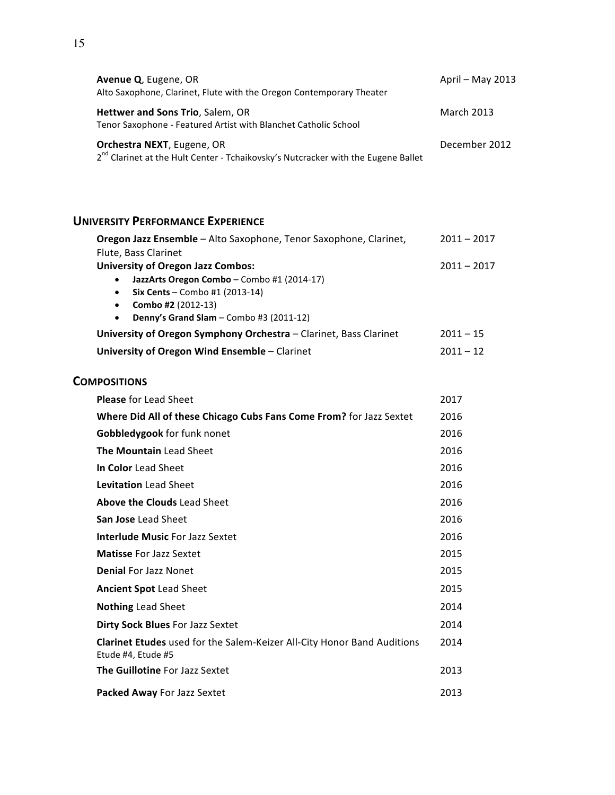| Avenue Q, Eugene, OR<br>Alto Saxophone, Clarinet, Flute with the Oregon Contemporary Theater                                                                                                                                   | April - May 2013  |
|--------------------------------------------------------------------------------------------------------------------------------------------------------------------------------------------------------------------------------|-------------------|
| Hettwer and Sons Trio, Salem, OR<br>Tenor Saxophone - Featured Artist with Blanchet Catholic School                                                                                                                            | <b>March 2013</b> |
| Orchestra NEXT, Eugene, OR<br>2 <sup>nd</sup> Clarinet at the Hult Center - Tchaikovsky's Nutcracker with the Eugene Ballet                                                                                                    | December 2012     |
| <b>UNIVERSITY PERFORMANCE EXPERIENCE</b>                                                                                                                                                                                       |                   |
| Oregon Jazz Ensemble - Alto Saxophone, Tenor Saxophone, Clarinet,                                                                                                                                                              | $2011 - 2017$     |
| Flute, Bass Clarinet<br><b>University of Oregon Jazz Combos:</b><br>JazzArts Oregon Combo - Combo #1 (2014-17)<br>$\bullet$<br>Six Cents - Combo #1 (2013-14)<br>Combo #2 (2012-13)<br>Denny's Grand Slam - Combo #3 (2011-12) | $2011 - 2017$     |
| University of Oregon Symphony Orchestra - Clarinet, Bass Clarinet                                                                                                                                                              | $2011 - 15$       |
| University of Oregon Wind Ensemble - Clarinet                                                                                                                                                                                  | $2011 - 12$       |
| <b>COMPOSITIONS</b>                                                                                                                                                                                                            |                   |
| <b>Please</b> for Lead Sheet                                                                                                                                                                                                   | 2017              |
| Where Did All of these Chicago Cubs Fans Come From? for Jazz Sextet                                                                                                                                                            | 2016              |
| Gobbledygook for funk nonet                                                                                                                                                                                                    | 2016              |
| The Mountain Lead Sheet                                                                                                                                                                                                        | 2016              |
| In Color Lead Sheet                                                                                                                                                                                                            | 2016              |
| Levitation Lead Sheet                                                                                                                                                                                                          | 2016              |
| Above the Clouds Lead Sheet                                                                                                                                                                                                    | 2016              |
| San Jose Lead Sheet                                                                                                                                                                                                            | 2016              |
| <b>Interlude Music For Jazz Sextet</b>                                                                                                                                                                                         | 2016              |
| <b>Matisse For Jazz Sextet</b>                                                                                                                                                                                                 | 2015              |
| <b>Denial For Jazz Nonet</b>                                                                                                                                                                                                   | 2015              |
| <b>Ancient Spot Lead Sheet</b>                                                                                                                                                                                                 | 2015              |
| <b>Nothing Lead Sheet</b>                                                                                                                                                                                                      | 2014              |
| Dirty Sock Blues For Jazz Sextet                                                                                                                                                                                               | 2014              |
| Clarinet Etudes used for the Salem-Keizer All-City Honor Band Auditions<br>Etude #4, Etude #5                                                                                                                                  | 2014              |
| The Guillotine For Jazz Sextet                                                                                                                                                                                                 | 2013              |
| Packed Away For Jazz Sextet                                                                                                                                                                                                    | 2013              |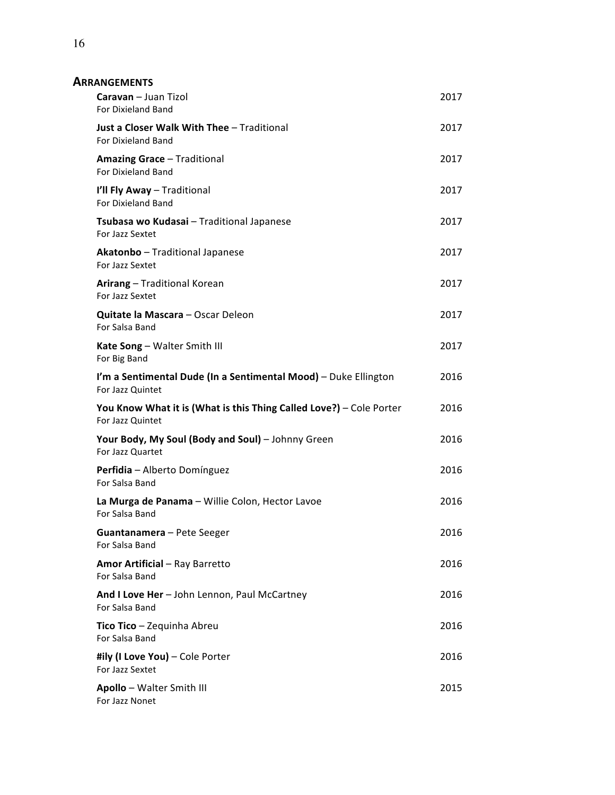| <b>ARRANGEMENTS</b> |
|---------------------|
|---------------------|

| Caravan - Juan Tizol<br>For Dixieland Band                                              | 2017 |
|-----------------------------------------------------------------------------------------|------|
| <b>Just a Closer Walk With Thee - Traditional</b><br><b>For Dixieland Band</b>          | 2017 |
| <b>Amazing Grace - Traditional</b><br><b>For Dixieland Band</b>                         | 2017 |
| I'll Fly Away - Traditional<br><b>For Dixieland Band</b>                                | 2017 |
| Tsubasa wo Kudasai - Traditional Japanese<br>For Jazz Sextet                            | 2017 |
| <b>Akatonbo</b> – Traditional Japanese<br>For Jazz Sextet                               | 2017 |
| Arirang - Traditional Korean<br>For Jazz Sextet                                         | 2017 |
| <b>Quitate la Mascara – Oscar Deleon</b><br>For Salsa Band                              | 2017 |
| Kate Song - Walter Smith III<br>For Big Band                                            | 2017 |
| I'm a Sentimental Dude (In a Sentimental Mood) - Duke Ellington<br>For Jazz Quintet     | 2016 |
| You Know What it is (What is this Thing Called Love?) - Cole Porter<br>For Jazz Quintet | 2016 |
| Your Body, My Soul (Body and Soul) - Johnny Green<br>For Jazz Quartet                   | 2016 |
| Perfidia - Alberto Domínguez                                                            | 2016 |
| For Salsa Band                                                                          |      |
| La Murga de Panama - Willie Colon, Hector Lavoe<br>For Salsa Band                       | 2016 |
| <b>Guantanamera</b> – Pete Seeger<br>For Salsa Band                                     | 2016 |
| <b>Amor Artificial - Ray Barretto</b><br>For Salsa Band                                 | 2016 |
| And I Love Her - John Lennon, Paul McCartney<br>For Salsa Band                          | 2016 |
| Tico Tico - Zequinha Abreu<br>For Salsa Band                                            | 2016 |
| #ily (I Love You) - Cole Porter<br>For Jazz Sextet                                      | 2016 |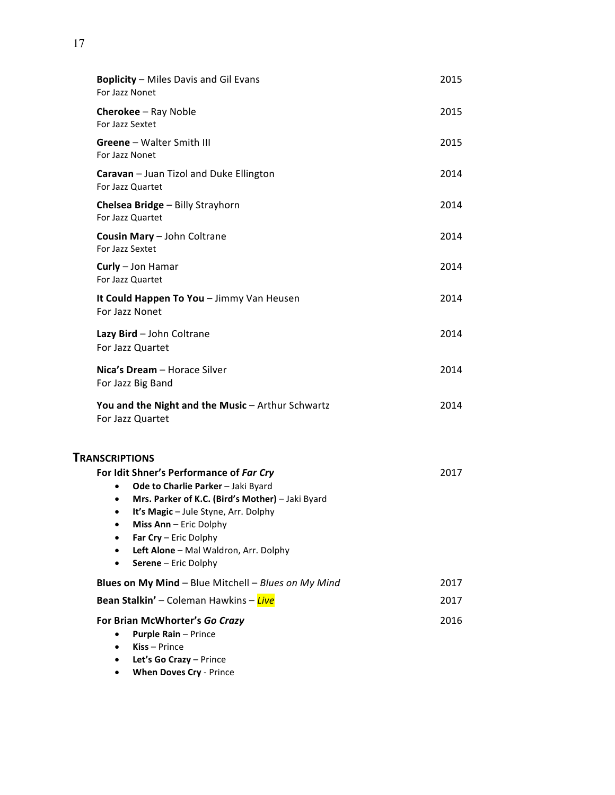| <b>Boplicity</b> - Miles Davis and Gil Evans<br>For Jazz Nonet                                                                                                                                                                                                                                                                                                     | 2015 |
|--------------------------------------------------------------------------------------------------------------------------------------------------------------------------------------------------------------------------------------------------------------------------------------------------------------------------------------------------------------------|------|
| <b>Cherokee</b> - Ray Noble<br>For Jazz Sextet                                                                                                                                                                                                                                                                                                                     | 2015 |
| <b>Greene</b> - Walter Smith III<br>For Jazz Nonet                                                                                                                                                                                                                                                                                                                 | 2015 |
| Caravan - Juan Tizol and Duke Ellington<br>For Jazz Quartet                                                                                                                                                                                                                                                                                                        | 2014 |
| Chelsea Bridge - Billy Strayhorn<br>For Jazz Quartet                                                                                                                                                                                                                                                                                                               | 2014 |
| <b>Cousin Mary - John Coltrane</b><br>For Jazz Sextet                                                                                                                                                                                                                                                                                                              | 2014 |
| Curly - Jon Hamar<br>For Jazz Quartet                                                                                                                                                                                                                                                                                                                              | 2014 |
| It Could Happen To You - Jimmy Van Heusen<br>For Jazz Nonet                                                                                                                                                                                                                                                                                                        | 2014 |
| Lazy Bird - John Coltrane<br>For Jazz Quartet                                                                                                                                                                                                                                                                                                                      | 2014 |
| Nica's Dream - Horace Silver<br>For Jazz Big Band                                                                                                                                                                                                                                                                                                                  | 2014 |
| You and the Night and the Music - Arthur Schwartz<br>For Jazz Quartet                                                                                                                                                                                                                                                                                              | 2014 |
| <b>TRANSCRIPTIONS</b><br>For Idit Shner's Performance of Far Cry<br>Ode to Charlie Parker - Jaki Byard<br>$\bullet$<br>Mrs. Parker of K.C. (Bird's Mother) - Jaki Byard<br>$\bullet$<br>It's Magic - Jule Styne, Arr. Dolphy<br>$\bullet$<br>Miss Ann - Eric Dolphy<br>٠<br>Far Cry - Eric Dolphy<br>Left Alone - Mal Waldron, Arr. Dolphy<br>Serene - Eric Dolphy | 2017 |
| Blues on My Mind - Blue Mitchell - Blues on My Mind                                                                                                                                                                                                                                                                                                                | 2017 |
| Bean Stalkin' - Coleman Hawkins - Live                                                                                                                                                                                                                                                                                                                             | 2017 |
| For Brian McWhorter's Go Crazy<br><b>Purple Rain - Prince</b><br>$Kiss - Prince$<br>Let's Go Crazy - Prince                                                                                                                                                                                                                                                        | 2016 |

• **When Doves Cry** - Prince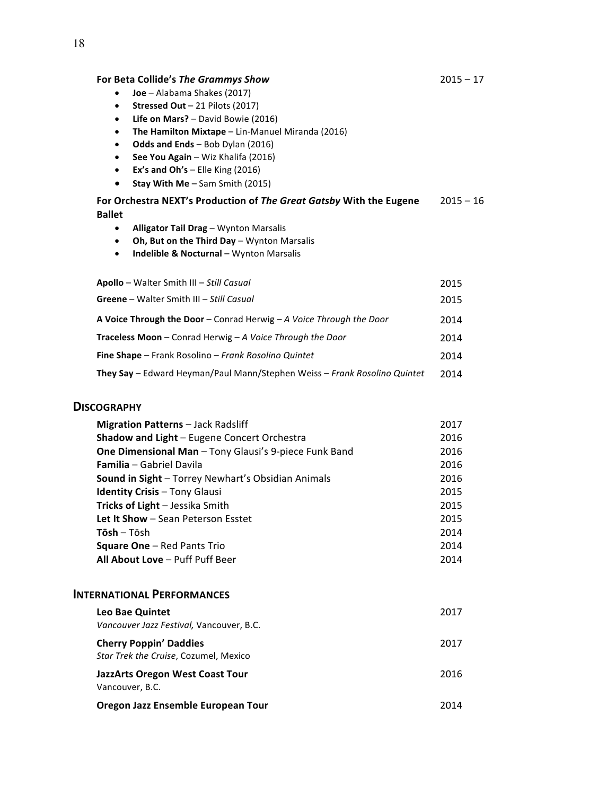#### For Beta Collide's The Grammys Show

- **Joe** Alabama Shakes (2017)
- **Stressed Out** 21 Pilots (2017)
- Life on Mars? David Bowie (2016)
- **•** The Hamilton Mixtape Lin-Manuel Miranda (2016)
- **Odds and Ends** Bob Dylan (2016)
- **See You Again** Wiz Khalifa (2016)
- **Ex's and Oh's** Elle King (2016)
- **Stay With Me** Sam Smith (2015)

| For Orchestra NEXT's Production of The Great Gatsby With the Eugene | $2015 - 16$ |
|---------------------------------------------------------------------|-------------|
| Ballet                                                              |             |

- **Alligator Tail Drag** Wynton Marsalis
- Oh, But on the Third Day Wynton Marsalis
- **Indelible & Nocturnal** Wynton Marsalis

| Apollo - Walter Smith III - Still Casual                                          | 2015 |
|-----------------------------------------------------------------------------------|------|
| <b>Greene</b> – Walter Smith III – Still Casual                                   | 2015 |
| <b>A Voice Through the Door</b> – Conrad Herwig – A <i>Voice Through the Door</i> | 2014 |
| <b>Traceless Moon</b> – Conrad Herwig – A Voice Through the Door                  | 2014 |
| <b>Fine Shape</b> – Frank Rosolino – Frank Rosolino Quintet                       | 2014 |
| <b>They Say</b> – Edward Heyman/Paul Mann/Stephen Weiss – Frank Rosolino Quintet  | 2014 |

#### **DISCOGRAPHY**

| 2016<br>Shadow and Light - Eugene Concert Orchestra<br>One Dimensional Man - Tony Glausi's 9-piece Funk Band<br>2016<br>2016<br><b>Familia</b> – Gabriel Davila<br>2016<br>Sound in Sight - Torrey Newhart's Obsidian Animals<br>2015<br><b>Identity Crisis - Tony Glausi</b><br>Tricks of Light - Jessika Smith<br>2015<br>2015<br>Let It Show - Sean Peterson Esstet<br>2014<br><b>Tōsh</b> – Tōsh<br><b>Square One - Red Pants Trio</b><br>2014<br>All About Love - Puff Puff Beer<br>2014 | <b>Migration Patterns - Jack Radsliff</b> | 2017 |
|-----------------------------------------------------------------------------------------------------------------------------------------------------------------------------------------------------------------------------------------------------------------------------------------------------------------------------------------------------------------------------------------------------------------------------------------------------------------------------------------------|-------------------------------------------|------|
|                                                                                                                                                                                                                                                                                                                                                                                                                                                                                               |                                           |      |
|                                                                                                                                                                                                                                                                                                                                                                                                                                                                                               |                                           |      |
|                                                                                                                                                                                                                                                                                                                                                                                                                                                                                               |                                           |      |
|                                                                                                                                                                                                                                                                                                                                                                                                                                                                                               |                                           |      |
|                                                                                                                                                                                                                                                                                                                                                                                                                                                                                               |                                           |      |
|                                                                                                                                                                                                                                                                                                                                                                                                                                                                                               |                                           |      |
|                                                                                                                                                                                                                                                                                                                                                                                                                                                                                               |                                           |      |
|                                                                                                                                                                                                                                                                                                                                                                                                                                                                                               |                                           |      |
|                                                                                                                                                                                                                                                                                                                                                                                                                                                                                               |                                           |      |
|                                                                                                                                                                                                                                                                                                                                                                                                                                                                                               |                                           |      |

#### **INTERNATIONAL PERFORMANCES**

| <b>Leo Bae Quintet</b><br>Vancouver Jazz Festival, Vancouver, B.C.     | 2017 |
|------------------------------------------------------------------------|------|
| <b>Cherry Poppin' Daddies</b><br>Star Trek the Cruise, Cozumel, Mexico | 2017 |
| JazzArts Oregon West Coast Tour<br>Vancouver, B.C.                     | 2016 |
| Oregon Jazz Ensemble European Tour                                     | 2014 |